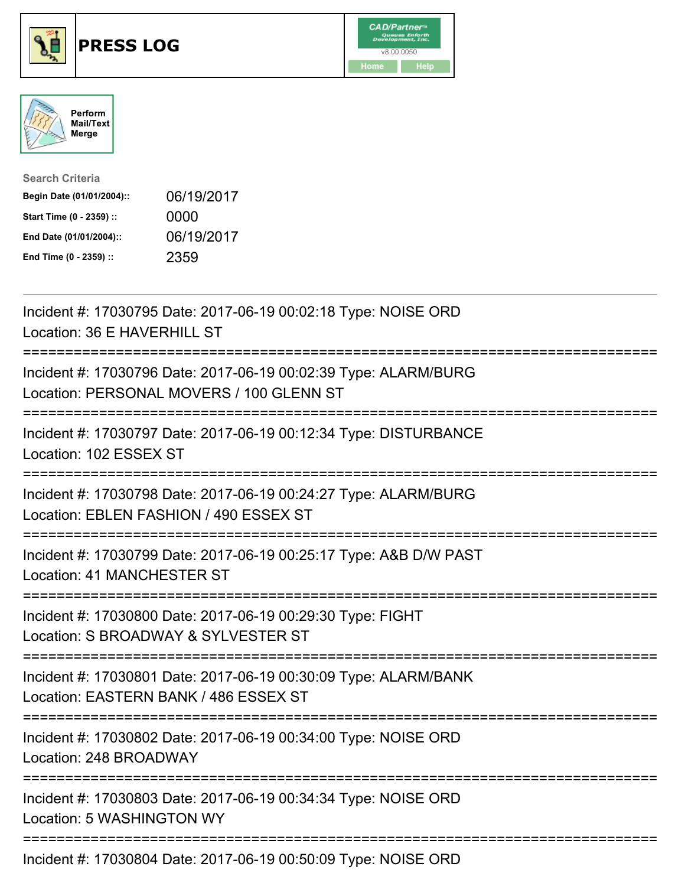





| <b>Search Criteria</b>    |            |
|---------------------------|------------|
| Begin Date (01/01/2004):: | 06/19/2017 |
| Start Time (0 - 2359) ::  | 0000       |
| End Date (01/01/2004)::   | 06/19/2017 |
| End Time (0 - 2359) ::    | 2359       |

| Incident #: 17030795 Date: 2017-06-19 00:02:18 Type: NOISE ORD<br>Location: 36 E HAVERHILL ST                                             |
|-------------------------------------------------------------------------------------------------------------------------------------------|
| Incident #: 17030796 Date: 2017-06-19 00:02:39 Type: ALARM/BURG<br>Location: PERSONAL MOVERS / 100 GLENN ST                               |
| Incident #: 17030797 Date: 2017-06-19 00:12:34 Type: DISTURBANCE<br>Location: 102 ESSEX ST                                                |
| Incident #: 17030798 Date: 2017-06-19 00:24:27 Type: ALARM/BURG<br>Location: EBLEN FASHION / 490 ESSEX ST                                 |
| Incident #: 17030799 Date: 2017-06-19 00:25:17 Type: A&B D/W PAST<br>Location: 41 MANCHESTER ST                                           |
| Incident #: 17030800 Date: 2017-06-19 00:29:30 Type: FIGHT<br>Location: S BROADWAY & SYLVESTER ST<br>======================               |
| Incident #: 17030801 Date: 2017-06-19 00:30:09 Type: ALARM/BANK<br>Location: EASTERN BANK / 486 ESSEX ST<br>============================= |
| Incident #: 17030802 Date: 2017-06-19 00:34:00 Type: NOISE ORD<br>Location: 248 BROADWAY                                                  |
| Incident #: 17030803 Date: 2017-06-19 00:34:34 Type: NOISE ORD<br>Location: 5 WASHINGTON WY                                               |
| Incident #: 17030804 Date: 2017-06-19 00:50:09 Type: NOISE ORD                                                                            |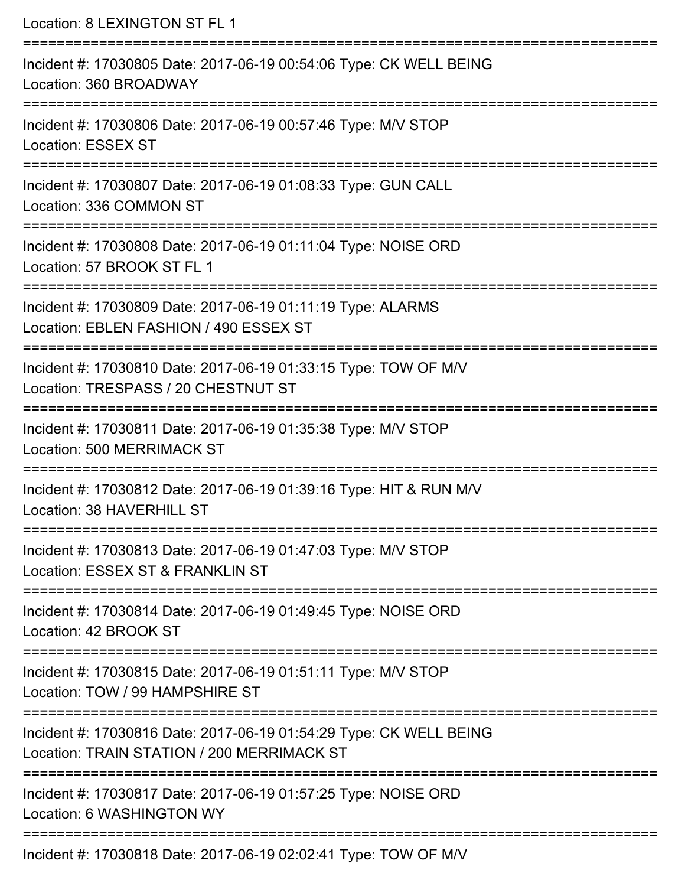Location: 8 LEXINGTON ST FL 1 =========================================================================== Incident #: 17030805 Date: 2017-06-19 00:54:06 Type: CK WELL BEING Location: 360 BROADWAY =========================================================================== Incident #: 17030806 Date: 2017-06-19 00:57:46 Type: M/V STOP Location: ESSEX ST =========================================================================== Incident #: 17030807 Date: 2017-06-19 01:08:33 Type: GUN CALL Location: 336 COMMON ST =========================================================================== Incident #: 17030808 Date: 2017-06-19 01:11:04 Type: NOISE ORD Location: 57 BROOK ST FL 1 =========================================================================== Incident #: 17030809 Date: 2017-06-19 01:11:19 Type: ALARMS Location: EBLEN FASHION / 490 ESSEX ST =========================================================================== Incident #: 17030810 Date: 2017-06-19 01:33:15 Type: TOW OF M/V Location: TRESPASS / 20 CHESTNUT ST =========================================================================== Incident #: 17030811 Date: 2017-06-19 01:35:38 Type: M/V STOP Location: 500 MERRIMACK ST =========================================================================== Incident #: 17030812 Date: 2017-06-19 01:39:16 Type: HIT & RUN M/V Location: 38 HAVERHILL ST =========================================================================== Incident #: 17030813 Date: 2017-06-19 01:47:03 Type: M/V STOP Location: ESSEX ST & FRANKLIN ST =========================================================================== Incident #: 17030814 Date: 2017-06-19 01:49:45 Type: NOISE ORD Location: 42 BROOK ST =========================================================================== Incident #: 17030815 Date: 2017-06-19 01:51:11 Type: M/V STOP Location: TOW / 99 HAMPSHIRE ST =========================================================================== Incident #: 17030816 Date: 2017-06-19 01:54:29 Type: CK WELL BEING Location: TRAIN STATION / 200 MERRIMACK ST =========================================================================== Incident #: 17030817 Date: 2017-06-19 01:57:25 Type: NOISE ORD Location: 6 WASHINGTON WY =========================================================================== Incident #: 17030818 Date: 2017-06-19 02:02:41 Type: TOW OF M/V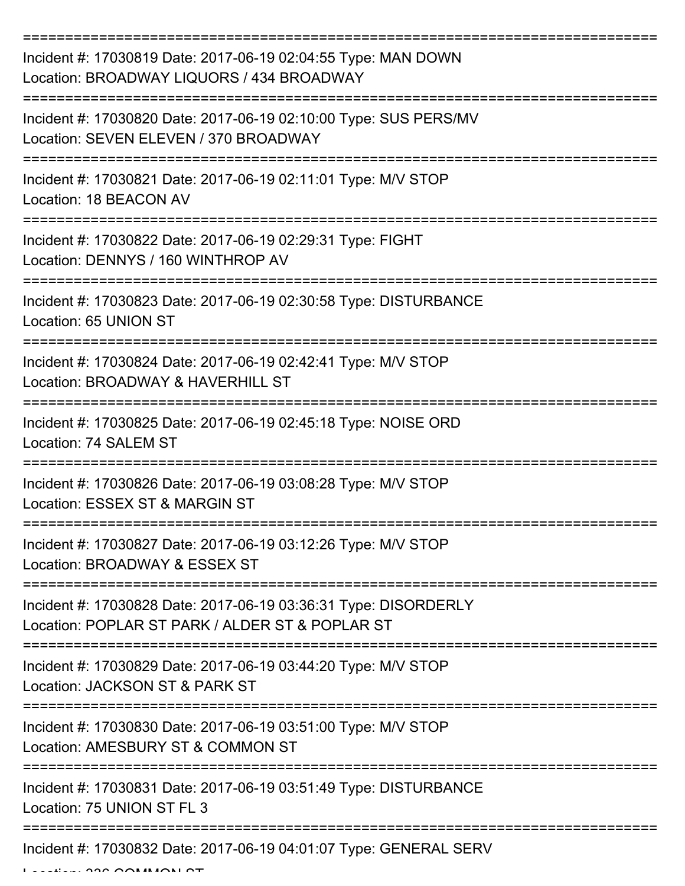| Incident #: 17030819 Date: 2017-06-19 02:04:55 Type: MAN DOWN<br>Location: BROADWAY LIQUORS / 434 BROADWAY         |
|--------------------------------------------------------------------------------------------------------------------|
| Incident #: 17030820 Date: 2017-06-19 02:10:00 Type: SUS PERS/MV<br>Location: SEVEN ELEVEN / 370 BROADWAY          |
| Incident #: 17030821 Date: 2017-06-19 02:11:01 Type: M/V STOP<br>Location: 18 BEACON AV                            |
| Incident #: 17030822 Date: 2017-06-19 02:29:31 Type: FIGHT<br>Location: DENNYS / 160 WINTHROP AV                   |
| Incident #: 17030823 Date: 2017-06-19 02:30:58 Type: DISTURBANCE<br>Location: 65 UNION ST                          |
| Incident #: 17030824 Date: 2017-06-19 02:42:41 Type: M/V STOP<br>Location: BROADWAY & HAVERHILL ST                 |
| Incident #: 17030825 Date: 2017-06-19 02:45:18 Type: NOISE ORD<br>Location: 74 SALEM ST                            |
| Incident #: 17030826 Date: 2017-06-19 03:08:28 Type: M/V STOP<br>Location: ESSEX ST & MARGIN ST                    |
| Incident #: 17030827 Date: 2017-06-19 03:12:26 Type: M/V STOP<br>Location: BROADWAY & ESSEX ST                     |
| Incident #: 17030828 Date: 2017-06-19 03:36:31 Type: DISORDERLY<br>Location: POPLAR ST PARK / ALDER ST & POPLAR ST |
| Incident #: 17030829 Date: 2017-06-19 03:44:20 Type: M/V STOP<br>Location: JACKSON ST & PARK ST                    |
| Incident #: 17030830 Date: 2017-06-19 03:51:00 Type: M/V STOP<br>Location: AMESBURY ST & COMMON ST                 |
| Incident #: 17030831 Date: 2017-06-19 03:51:49 Type: DISTURBANCE<br>Location: 75 UNION ST FL 3                     |
| Incident #: 17030832 Date: 2017-06-19 04:01:07 Type: GENERAL SERV                                                  |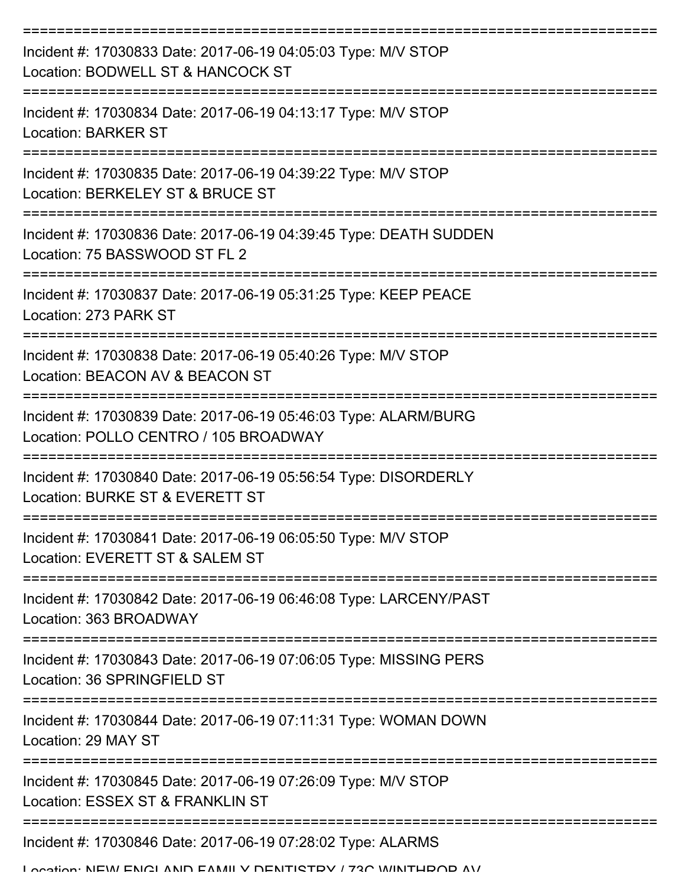| Incident #: 17030833 Date: 2017-06-19 04:05:03 Type: M/V STOP<br>Location: BODWELL ST & HANCOCK ST       |
|----------------------------------------------------------------------------------------------------------|
| Incident #: 17030834 Date: 2017-06-19 04:13:17 Type: M/V STOP<br><b>Location: BARKER ST</b>              |
| Incident #: 17030835 Date: 2017-06-19 04:39:22 Type: M/V STOP<br>Location: BERKELEY ST & BRUCE ST        |
| Incident #: 17030836 Date: 2017-06-19 04:39:45 Type: DEATH SUDDEN<br>Location: 75 BASSWOOD ST FL 2       |
| Incident #: 17030837 Date: 2017-06-19 05:31:25 Type: KEEP PEACE<br>Location: 273 PARK ST                 |
| Incident #: 17030838 Date: 2017-06-19 05:40:26 Type: M/V STOP<br>Location: BEACON AV & BEACON ST         |
| Incident #: 17030839 Date: 2017-06-19 05:46:03 Type: ALARM/BURG<br>Location: POLLO CENTRO / 105 BROADWAY |
| Incident #: 17030840 Date: 2017-06-19 05:56:54 Type: DISORDERLY<br>Location: BURKE ST & EVERETT ST       |
| Incident #: 17030841 Date: 2017-06-19 06:05:50 Type: M/V STOP<br>Location: EVERETT ST & SALEM ST         |
| Incident #: 17030842 Date: 2017-06-19 06:46:08 Type: LARCENY/PAST<br>Location: 363 BROADWAY              |
| Incident #: 17030843 Date: 2017-06-19 07:06:05 Type: MISSING PERS<br>Location: 36 SPRINGFIELD ST         |
| Incident #: 17030844 Date: 2017-06-19 07:11:31 Type: WOMAN DOWN<br>Location: 29 MAY ST                   |
| Incident #: 17030845 Date: 2017-06-19 07:26:09 Type: M/V STOP<br>Location: ESSEX ST & FRANKLIN ST        |
| Incident #: 17030846 Date: 2017-06-19 07:28:02 Type: ALARMS                                              |

Location: NEW ENGLAND FAMILY DENTISTRY / 73C WINTHROP AV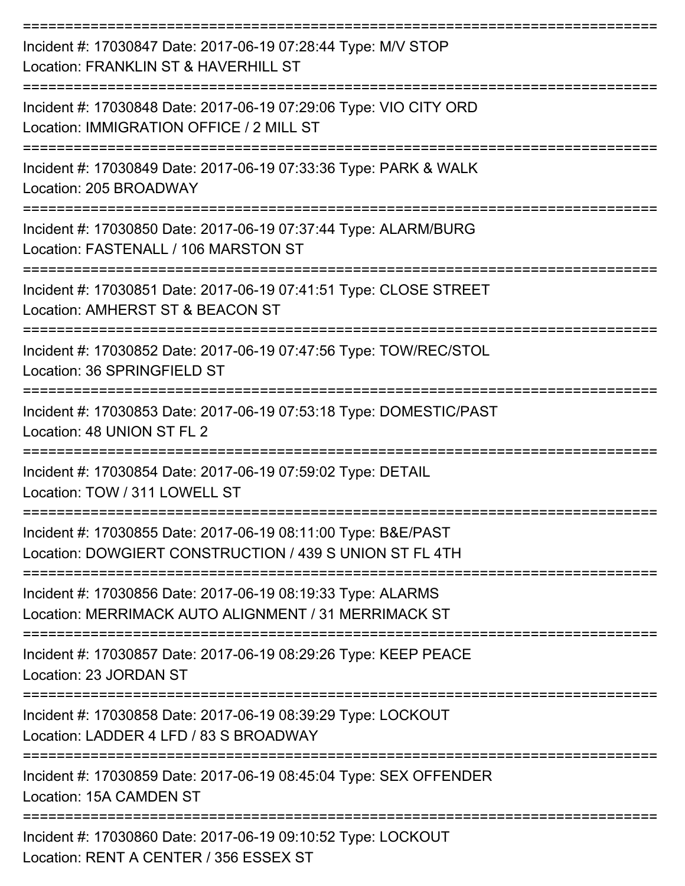| Incident #: 17030847 Date: 2017-06-19 07:28:44 Type: M/V STOP<br>Location: FRANKLIN ST & HAVERHILL ST                    |
|--------------------------------------------------------------------------------------------------------------------------|
| Incident #: 17030848 Date: 2017-06-19 07:29:06 Type: VIO CITY ORD<br>Location: IMMIGRATION OFFICE / 2 MILL ST            |
| Incident #: 17030849 Date: 2017-06-19 07:33:36 Type: PARK & WALK<br>Location: 205 BROADWAY                               |
| Incident #: 17030850 Date: 2017-06-19 07:37:44 Type: ALARM/BURG<br>Location: FASTENALL / 106 MARSTON ST                  |
| Incident #: 17030851 Date: 2017-06-19 07:41:51 Type: CLOSE STREET<br>Location: AMHERST ST & BEACON ST                    |
| ==========<br>Incident #: 17030852 Date: 2017-06-19 07:47:56 Type: TOW/REC/STOL<br>Location: 36 SPRINGFIELD ST           |
| Incident #: 17030853 Date: 2017-06-19 07:53:18 Type: DOMESTIC/PAST<br>Location: 48 UNION ST FL 2                         |
| Incident #: 17030854 Date: 2017-06-19 07:59:02 Type: DETAIL<br>Location: TOW / 311 LOWELL ST                             |
| Incident #: 17030855 Date: 2017-06-19 08:11:00 Type: B&E/PAST<br>Location: DOWGIERT CONSTRUCTION / 439 S UNION ST FL 4TH |
| Incident #: 17030856 Date: 2017-06-19 08:19:33 Type: ALARMS<br>Location: MERRIMACK AUTO ALIGNMENT / 31 MERRIMACK ST      |
| Incident #: 17030857 Date: 2017-06-19 08:29:26 Type: KEEP PEACE<br>Location: 23 JORDAN ST                                |
| Incident #: 17030858 Date: 2017-06-19 08:39:29 Type: LOCKOUT<br>Location: LADDER 4 LFD / 83 S BROADWAY                   |
| Incident #: 17030859 Date: 2017-06-19 08:45:04 Type: SEX OFFENDER<br>Location: 15A CAMDEN ST                             |
| Incident #: 17030860 Date: 2017-06-19 09:10:52 Type: LOCKOUT<br>Location: RENT A CENTER / 356 ESSEX ST                   |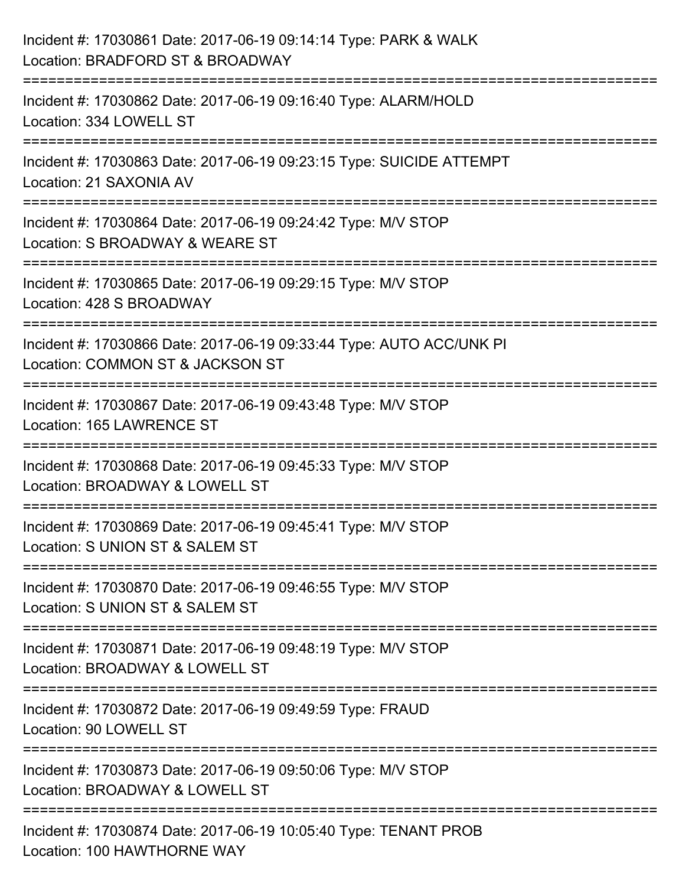| Incident #: 17030861 Date: 2017-06-19 09:14:14 Type: PARK & WALK<br>Location: BRADFORD ST & BROADWAY                                                             |
|------------------------------------------------------------------------------------------------------------------------------------------------------------------|
| :=======================<br>Incident #: 17030862 Date: 2017-06-19 09:16:40 Type: ALARM/HOLD<br>Location: 334 LOWELL ST                                           |
| Incident #: 17030863 Date: 2017-06-19 09:23:15 Type: SUICIDE ATTEMPT<br>Location: 21 SAXONIA AV                                                                  |
| :===============================<br>Incident #: 17030864 Date: 2017-06-19 09:24:42 Type: M/V STOP<br>Location: S BROADWAY & WEARE ST<br>:======================= |
| Incident #: 17030865 Date: 2017-06-19 09:29:15 Type: M/V STOP<br>Location: 428 S BROADWAY                                                                        |
| Incident #: 17030866 Date: 2017-06-19 09:33:44 Type: AUTO ACC/UNK PI<br>Location: COMMON ST & JACKSON ST                                                         |
| :======================<br>Incident #: 17030867 Date: 2017-06-19 09:43:48 Type: M/V STOP<br>Location: 165 LAWRENCE ST                                            |
| Incident #: 17030868 Date: 2017-06-19 09:45:33 Type: M/V STOP<br>Location: BROADWAY & LOWELL ST                                                                  |
| Incident #: 17030869 Date: 2017-06-19 09:45:41 Type: M/V STOP<br>Location: S UNION ST & SALEM ST                                                                 |
| Incident #: 17030870 Date: 2017-06-19 09:46:55 Type: M/V STOP<br>Location: S UNION ST & SALEM ST                                                                 |
| Incident #: 17030871 Date: 2017-06-19 09:48:19 Type: M/V STOP<br>Location: BROADWAY & LOWELL ST                                                                  |
| Incident #: 17030872 Date: 2017-06-19 09:49:59 Type: FRAUD<br>Location: 90 LOWELL ST                                                                             |
| Incident #: 17030873 Date: 2017-06-19 09:50:06 Type: M/V STOP<br>Location: BROADWAY & LOWELL ST                                                                  |
| Incident #: 17030874 Date: 2017-06-19 10:05:40 Type: TENANT PROB<br>Location: 100 HAWTHORNE WAY                                                                  |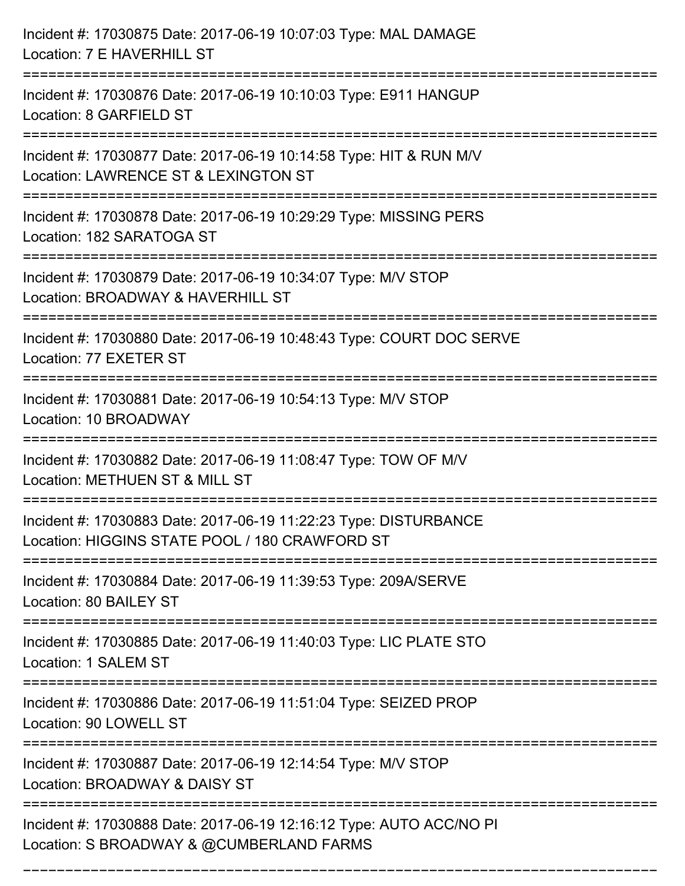| Incident #: 17030875 Date: 2017-06-19 10:07:03 Type: MAL DAMAGE<br>Location: 7 E HAVERHILL ST                                       |
|-------------------------------------------------------------------------------------------------------------------------------------|
| Incident #: 17030876 Date: 2017-06-19 10:10:03 Type: E911 HANGUP<br>Location: 8 GARFIELD ST                                         |
| Incident #: 17030877 Date: 2017-06-19 10:14:58 Type: HIT & RUN M/V<br>Location: LAWRENCE ST & LEXINGTON ST<br>===================== |
| Incident #: 17030878 Date: 2017-06-19 10:29:29 Type: MISSING PERS<br>Location: 182 SARATOGA ST                                      |
| Incident #: 17030879 Date: 2017-06-19 10:34:07 Type: M/V STOP<br>Location: BROADWAY & HAVERHILL ST                                  |
| Incident #: 17030880 Date: 2017-06-19 10:48:43 Type: COURT DOC SERVE<br>Location: 77 EXETER ST                                      |
| Incident #: 17030881 Date: 2017-06-19 10:54:13 Type: M/V STOP<br>Location: 10 BROADWAY                                              |
| Incident #: 17030882 Date: 2017-06-19 11:08:47 Type: TOW OF M/V<br>Location: METHUEN ST & MILL ST                                   |
| Incident #: 17030883 Date: 2017-06-19 11:22:23 Type: DISTURBANCE<br>Location: HIGGINS STATE POOL / 180 CRAWFORD ST                  |
| Incident #: 17030884 Date: 2017-06-19 11:39:53 Type: 209A/SERVE<br>Location: 80 BAILEY ST                                           |
| Incident #: 17030885 Date: 2017-06-19 11:40:03 Type: LIC PLATE STO<br>Location: 1 SALEM ST                                          |
| Incident #: 17030886 Date: 2017-06-19 11:51:04 Type: SEIZED PROP<br>Location: 90 LOWELL ST                                          |
| Incident #: 17030887 Date: 2017-06-19 12:14:54 Type: M/V STOP<br>Location: BROADWAY & DAISY ST                                      |
| Incident #: 17030888 Date: 2017-06-19 12:16:12 Type: AUTO ACC/NO PI<br>Location: S BROADWAY & @CUMBERLAND FARMS                     |

===========================================================================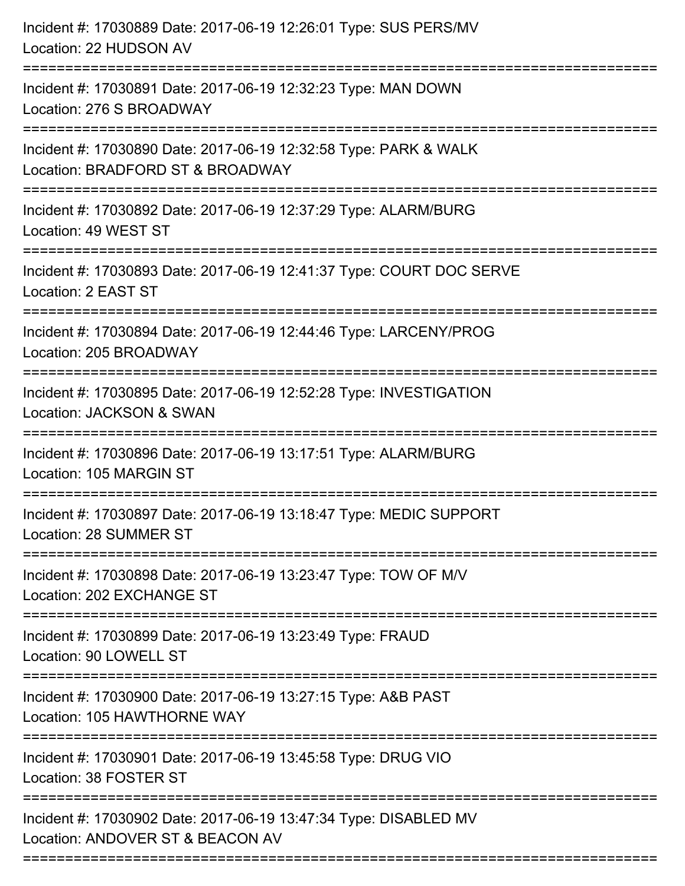| Incident #: 17030889 Date: 2017-06-19 12:26:01 Type: SUS PERS/MV<br>Location: 22 HUDSON AV           |
|------------------------------------------------------------------------------------------------------|
| Incident #: 17030891 Date: 2017-06-19 12:32:23 Type: MAN DOWN<br>Location: 276 S BROADWAY            |
| Incident #: 17030890 Date: 2017-06-19 12:32:58 Type: PARK & WALK<br>Location: BRADFORD ST & BROADWAY |
| Incident #: 17030892 Date: 2017-06-19 12:37:29 Type: ALARM/BURG<br>Location: 49 WEST ST              |
| Incident #: 17030893 Date: 2017-06-19 12:41:37 Type: COURT DOC SERVE<br>Location: 2 EAST ST          |
| Incident #: 17030894 Date: 2017-06-19 12:44:46 Type: LARCENY/PROG<br>Location: 205 BROADWAY          |
| Incident #: 17030895 Date: 2017-06-19 12:52:28 Type: INVESTIGATION<br>Location: JACKSON & SWAN       |
| Incident #: 17030896 Date: 2017-06-19 13:17:51 Type: ALARM/BURG<br>Location: 105 MARGIN ST           |
| Incident #: 17030897 Date: 2017-06-19 13:18:47 Type: MEDIC SUPPORT<br>Location: 28 SUMMER ST         |
| Incident #: 17030898 Date: 2017-06-19 13:23:47 Type: TOW OF M/V<br>Location: 202 EXCHANGE ST         |
| Incident #: 17030899 Date: 2017-06-19 13:23:49 Type: FRAUD<br>Location: 90 LOWELL ST                 |
| Incident #: 17030900 Date: 2017-06-19 13:27:15 Type: A&B PAST<br>Location: 105 HAWTHORNE WAY         |
| Incident #: 17030901 Date: 2017-06-19 13:45:58 Type: DRUG VIO<br>Location: 38 FOSTER ST              |
| Incident #: 17030902 Date: 2017-06-19 13:47:34 Type: DISABLED MV<br>Location: ANDOVER ST & BEACON AV |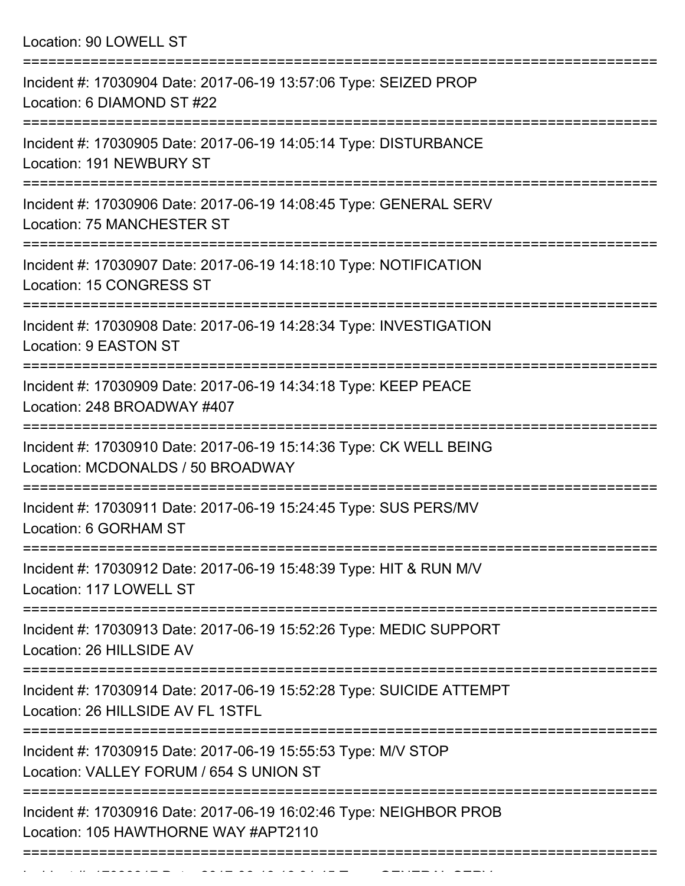Location: 90 LOWELL ST

| Incident #: 17030904 Date: 2017-06-19 13:57:06 Type: SEIZED PROP<br>Location: 6 DIAMOND ST #22             |
|------------------------------------------------------------------------------------------------------------|
| Incident #: 17030905 Date: 2017-06-19 14:05:14 Type: DISTURBANCE<br>Location: 191 NEWBURY ST               |
| Incident #: 17030906 Date: 2017-06-19 14:08:45 Type: GENERAL SERV<br><b>Location: 75 MANCHESTER ST</b>     |
| Incident #: 17030907 Date: 2017-06-19 14:18:10 Type: NOTIFICATION<br>Location: 15 CONGRESS ST              |
| Incident #: 17030908 Date: 2017-06-19 14:28:34 Type: INVESTIGATION<br><b>Location: 9 EASTON ST</b>         |
| Incident #: 17030909 Date: 2017-06-19 14:34:18 Type: KEEP PEACE<br>Location: 248 BROADWAY #407             |
| Incident #: 17030910 Date: 2017-06-19 15:14:36 Type: CK WELL BEING<br>Location: MCDONALDS / 50 BROADWAY    |
| Incident #: 17030911 Date: 2017-06-19 15:24:45 Type: SUS PERS/MV<br>Location: 6 GORHAM ST                  |
| Incident #: 17030912 Date: 2017-06-19 15:48:39 Type: HIT & RUN M/V<br>Location: 117 LOWELL ST              |
| Incident #: 17030913 Date: 2017-06-19 15:52:26 Type: MEDIC SUPPORT<br>Location: 26 HILLSIDE AV             |
| Incident #: 17030914 Date: 2017-06-19 15:52:28 Type: SUICIDE ATTEMPT<br>Location: 26 HILLSIDE AV FL 1STFL  |
| Incident #: 17030915 Date: 2017-06-19 15:55:53 Type: M/V STOP<br>Location: VALLEY FORUM / 654 S UNION ST   |
| Incident #: 17030916 Date: 2017-06-19 16:02:46 Type: NEIGHBOR PROB<br>Location: 105 HAWTHORNE WAY #APT2110 |
|                                                                                                            |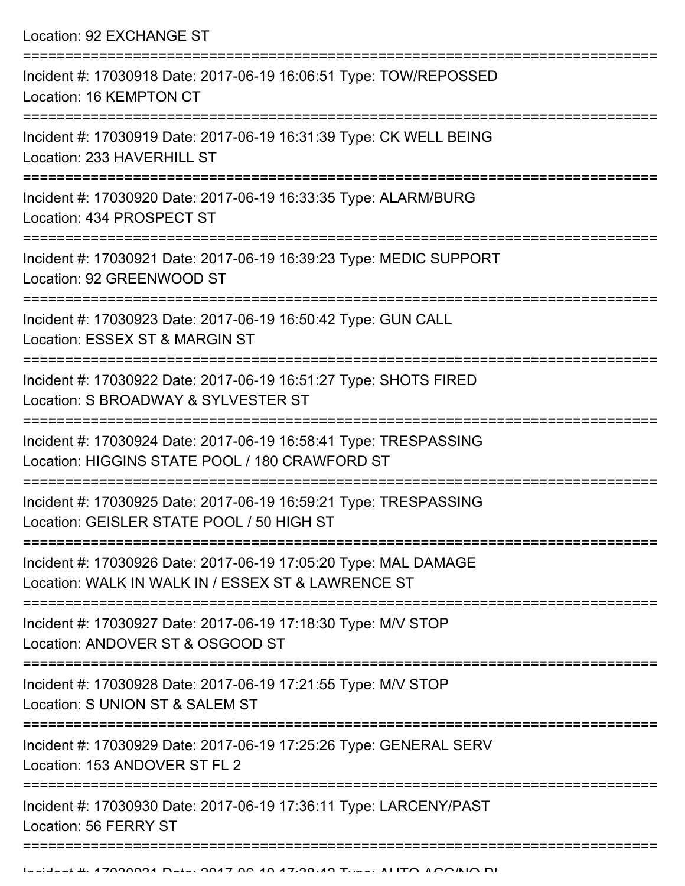Location: 92 EXCHANGE ST

| Incident #: 17030918 Date: 2017-06-19 16:06:51 Type: TOW/REPOSSED<br>Location: 16 KEMPTON CT                          |
|-----------------------------------------------------------------------------------------------------------------------|
| Incident #: 17030919 Date: 2017-06-19 16:31:39 Type: CK WELL BEING<br>Location: 233 HAVERHILL ST                      |
| Incident #: 17030920 Date: 2017-06-19 16:33:35 Type: ALARM/BURG<br>Location: 434 PROSPECT ST                          |
| Incident #: 17030921 Date: 2017-06-19 16:39:23 Type: MEDIC SUPPORT<br>Location: 92 GREENWOOD ST                       |
| Incident #: 17030923 Date: 2017-06-19 16:50:42 Type: GUN CALL<br>Location: ESSEX ST & MARGIN ST                       |
| Incident #: 17030922 Date: 2017-06-19 16:51:27 Type: SHOTS FIRED<br>Location: S BROADWAY & SYLVESTER ST               |
| Incident #: 17030924 Date: 2017-06-19 16:58:41 Type: TRESPASSING<br>Location: HIGGINS STATE POOL / 180 CRAWFORD ST    |
| Incident #: 17030925 Date: 2017-06-19 16:59:21 Type: TRESPASSING<br>Location: GEISLER STATE POOL / 50 HIGH ST         |
| Incident #: 17030926 Date: 2017-06-19 17:05:20 Type: MAL DAMAGE<br>Location: WALK IN WALK IN / ESSEX ST & LAWRENCE ST |
| Incident #: 17030927 Date: 2017-06-19 17:18:30 Type: M/V STOP<br>Location: ANDOVER ST & OSGOOD ST                     |
| Incident #: 17030928 Date: 2017-06-19 17:21:55 Type: M/V STOP<br>Location: S UNION ST & SALEM ST                      |
| Incident #: 17030929 Date: 2017-06-19 17:25:26 Type: GENERAL SERV<br>Location: 153 ANDOVER ST FL 2                    |
| Incident #: 17030930 Date: 2017-06-19 17:36:11 Type: LARCENY/PAST<br>Location: 56 FERRY ST                            |
|                                                                                                                       |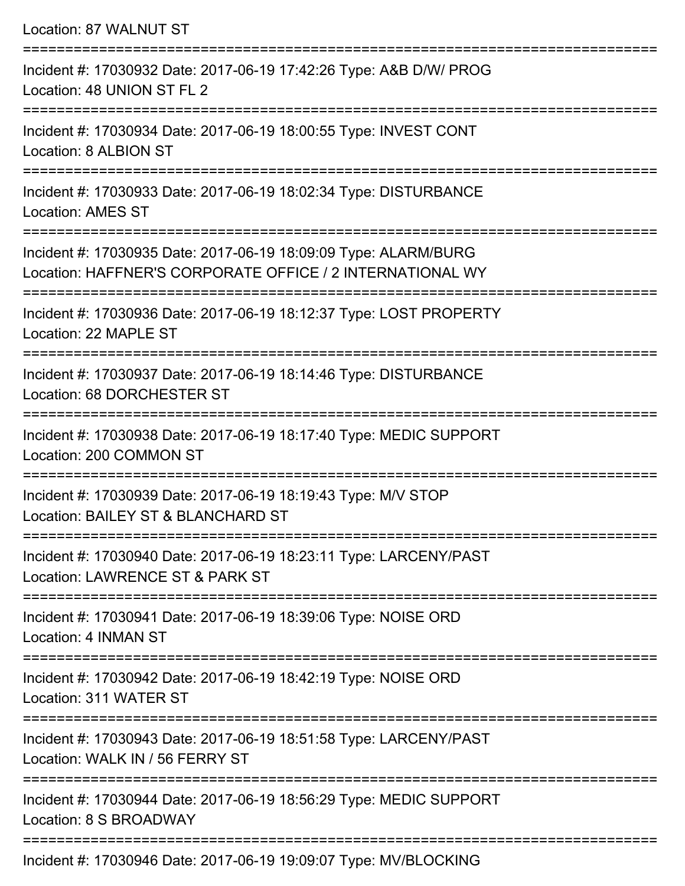| Location: 87 WALNUT ST                                                                                                       |
|------------------------------------------------------------------------------------------------------------------------------|
| Incident #: 17030932 Date: 2017-06-19 17:42:26 Type: A&B D/W/ PROG<br>Location: 48 UNION ST FL 2                             |
| Incident #: 17030934 Date: 2017-06-19 18:00:55 Type: INVEST CONT<br>Location: 8 ALBION ST                                    |
| Incident #: 17030933 Date: 2017-06-19 18:02:34 Type: DISTURBANCE<br><b>Location: AMES ST</b>                                 |
| Incident #: 17030935 Date: 2017-06-19 18:09:09 Type: ALARM/BURG<br>Location: HAFFNER'S CORPORATE OFFICE / 2 INTERNATIONAL WY |
| Incident #: 17030936 Date: 2017-06-19 18:12:37 Type: LOST PROPERTY<br>Location: 22 MAPLE ST                                  |
| Incident #: 17030937 Date: 2017-06-19 18:14:46 Type: DISTURBANCE<br>Location: 68 DORCHESTER ST                               |
| Incident #: 17030938 Date: 2017-06-19 18:17:40 Type: MEDIC SUPPORT<br>Location: 200 COMMON ST                                |
| Incident #: 17030939 Date: 2017-06-19 18:19:43 Type: M/V STOP<br>Location: BAILEY ST & BLANCHARD ST                          |
| Incident #: 17030940 Date: 2017-06-19 18:23:11 Type: LARCENY/PAST<br>Location: LAWRENCE ST & PARK ST                         |
| Incident #: 17030941 Date: 2017-06-19 18:39:06 Type: NOISE ORD<br>Location: 4 INMAN ST                                       |
| Incident #: 17030942 Date: 2017-06-19 18:42:19 Type: NOISE ORD<br>Location: 311 WATER ST                                     |
| Incident #: 17030943 Date: 2017-06-19 18:51:58 Type: LARCENY/PAST<br>Location: WALK IN / 56 FERRY ST                         |
| Incident #: 17030944 Date: 2017-06-19 18:56:29 Type: MEDIC SUPPORT<br>Location: 8 S BROADWAY                                 |
|                                                                                                                              |

Incident #: 17030946 Date: 2017-06-19 19:09:07 Type: MV/BLOCKING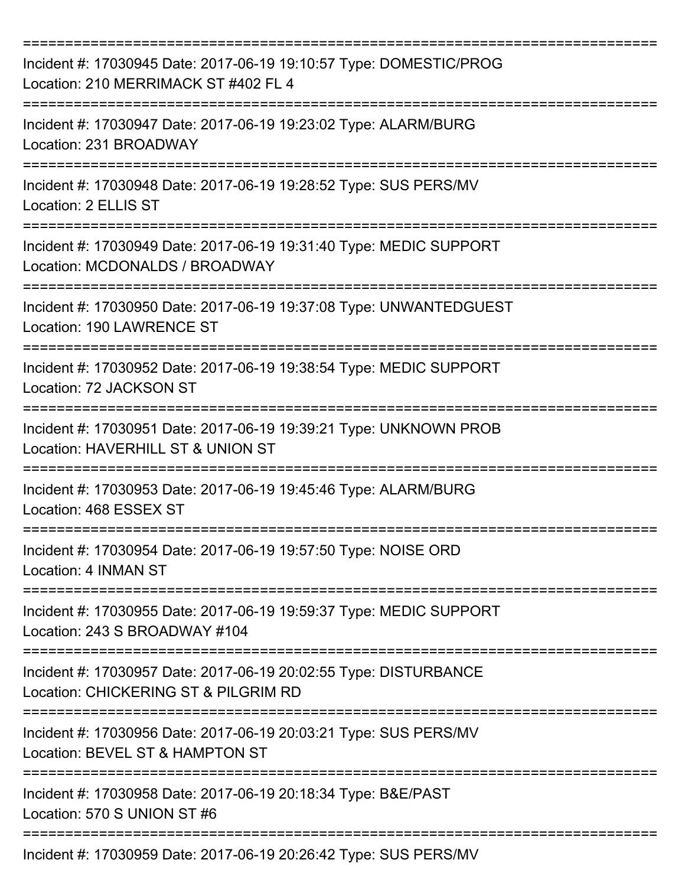| Incident #: 17030945 Date: 2017-06-19 19:10:57 Type: DOMESTIC/PROG<br>Location: 210 MERRIMACK ST #402 FL 4                            |
|---------------------------------------------------------------------------------------------------------------------------------------|
| :=======================<br>Incident #: 17030947 Date: 2017-06-19 19:23:02 Type: ALARM/BURG<br>Location: 231 BROADWAY                 |
| Incident #: 17030948 Date: 2017-06-19 19:28:52 Type: SUS PERS/MV<br>Location: 2 ELLIS ST                                              |
| Incident #: 17030949 Date: 2017-06-19 19:31:40 Type: MEDIC SUPPORT<br>Location: MCDONALDS / BROADWAY<br>. _ _ _ _ _ _ _ _ _ _ _ _ _ _ |
| Incident #: 17030950 Date: 2017-06-19 19:37:08 Type: UNWANTEDGUEST<br><b>Location: 190 LAWRENCE ST</b>                                |
| Incident #: 17030952 Date: 2017-06-19 19:38:54 Type: MEDIC SUPPORT<br>Location: 72 JACKSON ST                                         |
| Incident #: 17030951 Date: 2017-06-19 19:39:21 Type: UNKNOWN PROB<br>Location: HAVERHILL ST & UNION ST                                |
| Incident #: 17030953 Date: 2017-06-19 19:45:46 Type: ALARM/BURG<br>Location: 468 ESSEX ST                                             |
| Incident #: 17030954 Date: 2017-06-19 19:57:50 Type: NOISE ORD<br>Location: 4 INMAN ST                                                |
| Incident #: 17030955 Date: 2017-06-19 19:59:37 Type: MEDIC SUPPORT<br>Location: 243 S BROADWAY #104                                   |
| Incident #: 17030957 Date: 2017-06-19 20:02:55 Type: DISTURBANCE<br>Location: CHICKERING ST & PILGRIM RD                              |
| Incident #: 17030956 Date: 2017-06-19 20:03:21 Type: SUS PERS/MV<br>Location: BEVEL ST & HAMPTON ST                                   |
| Incident #: 17030958 Date: 2017-06-19 20:18:34 Type: B&E/PAST<br>Location: 570 S UNION ST #6                                          |
| Incident #: 17030959 Date: 2017-06-19 20:26:42 Type: SUS PERS/MV                                                                      |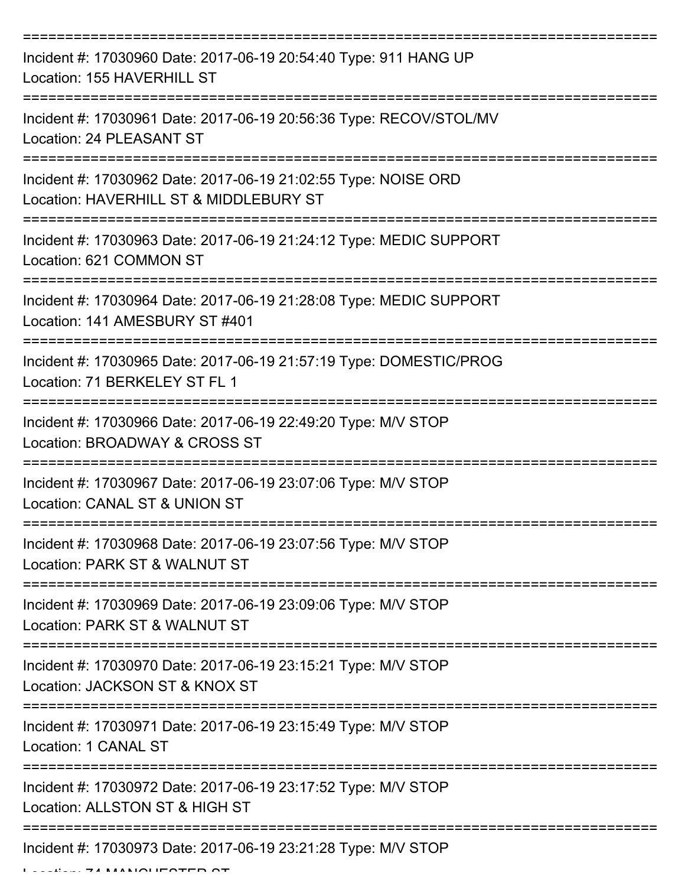| Incident #: 17030960 Date: 2017-06-19 20:54:40 Type: 911 HANG UP<br>Location: 155 HAVERHILL ST           |
|----------------------------------------------------------------------------------------------------------|
| Incident #: 17030961 Date: 2017-06-19 20:56:36 Type: RECOV/STOL/MV<br>Location: 24 PLEASANT ST           |
| Incident #: 17030962 Date: 2017-06-19 21:02:55 Type: NOISE ORD<br>Location: HAVERHILL ST & MIDDLEBURY ST |
| Incident #: 17030963 Date: 2017-06-19 21:24:12 Type: MEDIC SUPPORT<br>Location: 621 COMMON ST            |
| Incident #: 17030964 Date: 2017-06-19 21:28:08 Type: MEDIC SUPPORT<br>Location: 141 AMESBURY ST #401     |
| Incident #: 17030965 Date: 2017-06-19 21:57:19 Type: DOMESTIC/PROG<br>Location: 71 BERKELEY ST FL 1      |
| Incident #: 17030966 Date: 2017-06-19 22:49:20 Type: M/V STOP<br>Location: BROADWAY & CROSS ST           |
| Incident #: 17030967 Date: 2017-06-19 23:07:06 Type: M/V STOP<br>Location: CANAL ST & UNION ST           |
| Incident #: 17030968 Date: 2017-06-19 23:07:56 Type: M/V STOP<br>Location: PARK ST & WALNUT ST           |
| Incident #: 17030969 Date: 2017-06-19 23:09:06 Type: M/V STOP<br>Location: PARK ST & WALNUT ST           |
| Incident #: 17030970 Date: 2017-06-19 23:15:21 Type: M/V STOP<br>Location: JACKSON ST & KNOX ST          |
| Incident #: 17030971 Date: 2017-06-19 23:15:49 Type: M/V STOP<br>Location: 1 CANAL ST                    |
| Incident #: 17030972 Date: 2017-06-19 23:17:52 Type: M/V STOP<br>Location: ALLSTON ST & HIGH ST          |
| Incident #: 17030973 Date: 2017-06-19 23:21:28 Type: M/V STOP                                            |